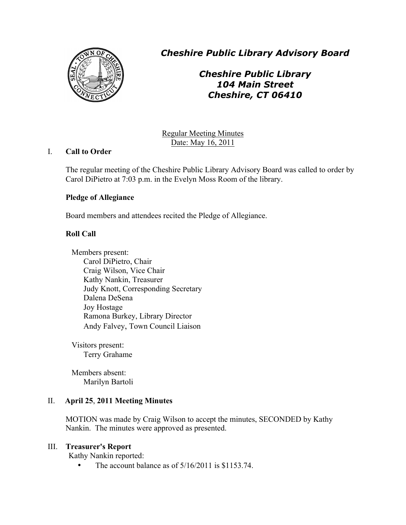

*Cheshire Public Library Advisory Board*

*Cheshire Public Library 104 Main Street Cheshire, CT 06410*

Regular Meeting Minutes Date: May 16, 2011

# I. **Call to Order**

The regular meeting of the Cheshire Public Library Advisory Board was called to order by Carol DiPietro at 7:03 p.m. in the Evelyn Moss Room of the library.

# **Pledge of Allegiance**

Board members and attendees recited the Pledge of Allegiance.

# **Roll Call**

Members present: Carol DiPietro, Chair Craig Wilson, Vice Chair Kathy Nankin, Treasurer Judy Knott, Corresponding Secretary Dalena DeSena Joy Hostage Ramona Burkey, Library Director Andy Falvey, Town Council Liaison

Visitors present: Terry Grahame

Members absent: Marilyn Bartoli

# II. **April 25**, **2011 Meeting Minutes**

MOTION was made by Craig Wilson to accept the minutes, SECONDED by Kathy Nankin. The minutes were approved as presented.

# III. **Treasurer's Report**

Kathy Nankin reported:

The account balance as of  $5/16/2011$  is \$1153.74.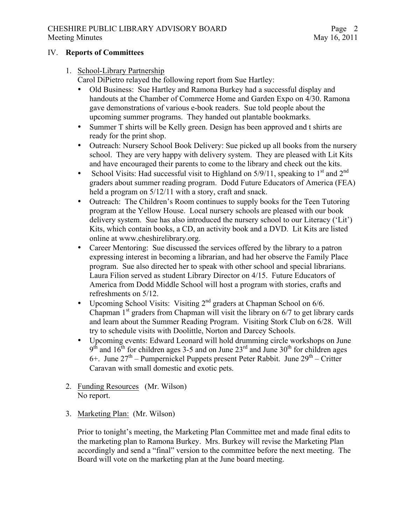# CHESHIRE PUBLIC LIBRARY ADVISORY BOARD Meeting Minutes May 16, 2011

### IV. **Reports of Committees**

# 1. School-Library Partnership

Carol DiPietro relayed the following report from Sue Hartley:

- Old Business: Sue Hartley and Ramona Burkey had a successful display and handouts at the Chamber of Commerce Home and Garden Expo on 4/30. Ramona gave demonstrations of various e-book readers. Sue told people about the upcoming summer programs. They handed out plantable bookmarks.
- Summer T shirts will be Kelly green. Design has been approved and t shirts are ready for the print shop.
- Outreach: Nursery School Book Delivery: Sue picked up all books from the nursery school. They are very happy with delivery system. They are pleased with Lit Kits and have encouraged their parents to come to the library and check out the kits.
- School Visits: Had successful visit to Highland on  $5/9/11$ , speaking to  $1<sup>st</sup>$  and  $2<sup>nd</sup>$ graders about summer reading program. Dodd Future Educators of America (FEA) held a program on  $5/12/11$  with a story, craft and snack.
- Outreach: The Children's Room continues to supply books for the Teen Tutoring program at the Yellow House. Local nursery schools are pleased with our book delivery system. Sue has also introduced the nursery school to our Literacy ('Lit') Kits, which contain books, a CD, an activity book and a DVD. Lit Kits are listed online at www.cheshirelibrary.org.
- Career Mentoring: Sue discussed the services offered by the library to a patron expressing interest in becoming a librarian, and had her observe the Family Place program. Sue also directed her to speak with other school and special librarians. Laura Filion served as student Library Director on 4/15. Future Educators of America from Dodd Middle School will host a program with stories, crafts and refreshments on 5/12.
- Upcoming School Visits: Visiting 2<sup>nd</sup> graders at Chapman School on 6/6. Chapman  $1<sup>st</sup>$  graders from Chapman will visit the library on  $6/7$  to get library cards and learn about the Summer Reading Program. Visiting Stork Club on 6/28. Will try to schedule visits with Doolittle, Norton and Darcey Schools.
- Upcoming events: Edward Leonard will hold drumming circle workshops on June  $9<sup>th</sup>$  and  $16<sup>th</sup>$  for children ages 3-5 and on June 23<sup>rd</sup> and June 30<sup>th</sup> for children ages 6+. June  $27<sup>th</sup>$  – Pumpernickel Puppets present Peter Rabbit. June  $29<sup>th</sup>$  – Critter Caravan with small domestic and exotic pets.
- 2. Funding Resources (Mr. Wilson) No report.
- 3. Marketing Plan: (Mr. Wilson)

Prior to tonight's meeting, the Marketing Plan Committee met and made final edits to the marketing plan to Ramona Burkey. Mrs. Burkey will revise the Marketing Plan accordingly and send a "final" version to the committee before the next meeting. The Board will vote on the marketing plan at the June board meeting.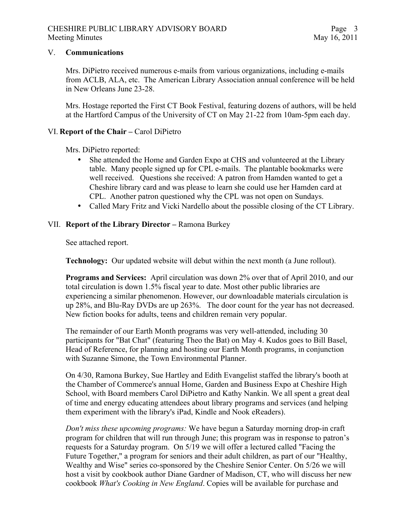#### V. **Communications**

Mrs. DiPietro received numerous e-mails from various organizations, including e-mails from ACLB, ALA, etc. The American Library Association annual conference will be held in New Orleans June 23-28.

Mrs. Hostage reported the First CT Book Festival, featuring dozens of authors, will be held at the Hartford Campus of the University of CT on May 21-22 from 10am-5pm each day.

### VI. **Report of the Chair –** Carol DiPietro

Mrs. DiPietro reported:

- She attended the Home and Garden Expo at CHS and volunteered at the Library table. Many people signed up for CPL e-mails. The plantable bookmarks were well received. Questions she received: A patron from Hamden wanted to get a Cheshire library card and was please to learn she could use her Hamden card at CPL. Another patron questioned why the CPL was not open on Sundays.
- Called Mary Fritz and Vicki Nardello about the possible closing of the CT Library.

### VII. **Report of the Library Director –** Ramona Burkey

See attached report.

**Technology:** Our updated website will debut within the next month (a June rollout).

**Programs and Services:** April circulation was down 2% over that of April 2010, and our total circulation is down 1.5% fiscal year to date. Most other public libraries are experiencing a similar phenomenon. However, our downloadable materials circulation is up 28%, and Blu-Ray DVDs are up 263%. The door count for the year has not decreased. New fiction books for adults, teens and children remain very popular.

The remainder of our Earth Month programs was very well-attended, including 30 participants for "Bat Chat" (featuring Theo the Bat) on May 4. Kudos goes to Bill Basel, Head of Reference, for planning and hosting our Earth Month programs, in conjunction with Suzanne Simone, the Town Environmental Planner.

On 4/30, Ramona Burkey, Sue Hartley and Edith Evangelist staffed the library's booth at the Chamber of Commerce's annual Home, Garden and Business Expo at Cheshire High School, with Board members Carol DiPietro and Kathy Nankin. We all spent a great deal of time and energy educating attendees about library programs and services (and helping them experiment with the library's iPad, Kindle and Nook eReaders).

*Don't miss these upcoming programs:* We have begun a Saturday morning drop-in craft program for children that will run through June; this program was in response to patron's requests for a Saturday program. On 5/19 we will offer a lectured called "Facing the Future Together," a program for seniors and their adult children, as part of our "Healthy, Wealthy and Wise" series co-sponsored by the Cheshire Senior Center. On 5/26 we will host a visit by cookbook author Diane Gardner of Madison, CT, who will discuss her new cookbook *What's Cooking in New England*. Copies will be available for purchase and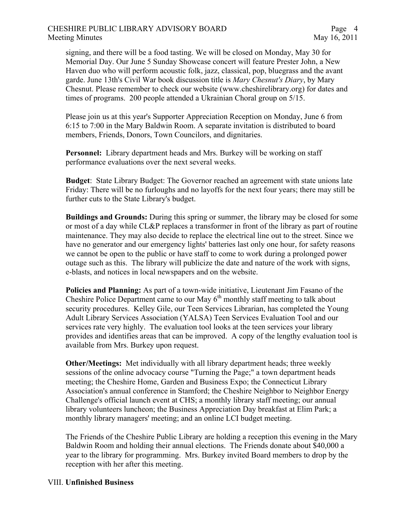### CHESHIRE PUBLIC LIBRARY ADVISORY BOARD Meeting Minutes May 16, 2011

signing, and there will be a food tasting. We will be closed on Monday, May 30 for Memorial Day. Our June 5 Sunday Showcase concert will feature Prester John, a New Haven duo who will perform acoustic folk, jazz, classical, pop, bluegrass and the avant garde. June 13th's Civil War book discussion title is *Mary Chesnut's Diary*, by Mary Chesnut. Please remember to check our website (www.cheshirelibrary.org) for dates and times of programs. 200 people attended a Ukrainian Choral group on 5/15.

Please join us at this year's Supporter Appreciation Reception on Monday, June 6 from 6:15 to 7:00 in the Mary Baldwin Room. A separate invitation is distributed to board members, Friends, Donors, Town Councilors, and dignitaries.

**Personnel:** Library department heads and Mrs. Burkey will be working on staff performance evaluations over the next several weeks.

**Budget**: State Library Budget: The Governor reached an agreement with state unions late Friday: There will be no furloughs and no layoffs for the next four years; there may still be further cuts to the State Library's budget.

**Buildings and Grounds:** During this spring or summer, the library may be closed for some or most of a day while CL&P replaces a transformer in front of the library as part of routine maintenance. They may also decide to replace the electrical line out to the street. Since we have no generator and our emergency lights' batteries last only one hour, for safety reasons we cannot be open to the public or have staff to come to work during a prolonged power outage such as this. The library will publicize the date and nature of the work with signs, e-blasts, and notices in local newspapers and on the website.

**Policies and Planning:** As part of a town-wide initiative, Lieutenant Jim Fasano of the Cheshire Police Department came to our May  $6<sup>th</sup>$  monthly staff meeting to talk about security procedures. Kelley Gile, our Teen Services Librarian, has completed the Young Adult Library Services Association (YALSA) Teen Services Evaluation Tool and our services rate very highly. The evaluation tool looks at the teen services your library provides and identifies areas that can be improved. A copy of the lengthy evaluation tool is available from Mrs. Burkey upon request.

**Other/Meetings:** Met individually with all library department heads; three weekly sessions of the online advocacy course "Turning the Page;" a town department heads meeting; the Cheshire Home, Garden and Business Expo; the Connecticut Library Association's annual conference in Stamford; the Cheshire Neighbor to Neighbor Energy Challenge's official launch event at CHS; a monthly library staff meeting; our annual library volunteers luncheon; the Business Appreciation Day breakfast at Elim Park; a monthly library managers' meeting; and an online LCI budget meeting.

The Friends of the Cheshire Public Library are holding a reception this evening in the Mary Baldwin Room and holding their annual elections. The Friends donate about \$40,000 a year to the library for programming. Mrs. Burkey invited Board members to drop by the reception with her after this meeting.

#### VIII. **Unfinished Business**